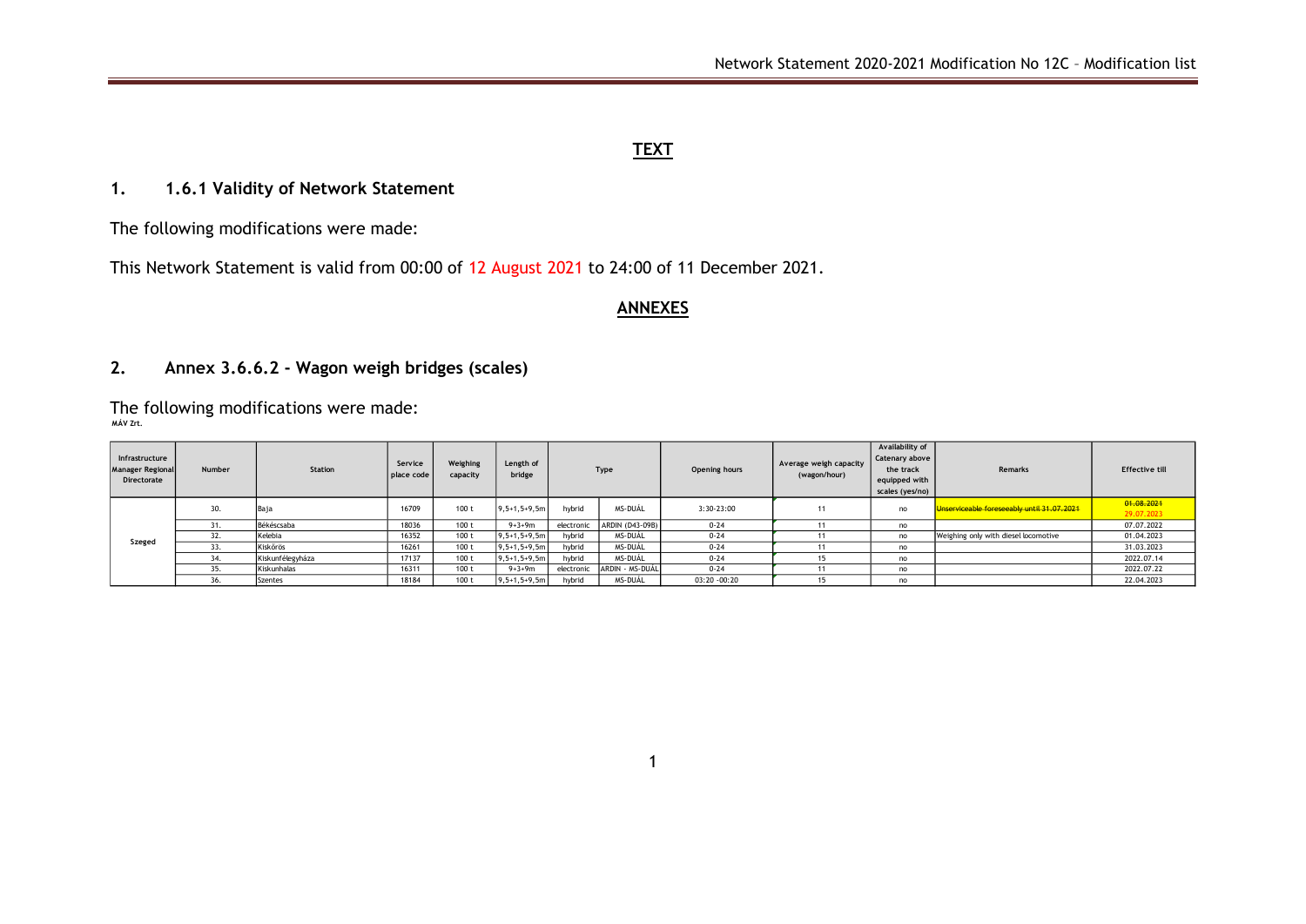#### **TEXT**

## **1. 1.6.1 Validity of Network Statement**

The following modifications were made:

This Network Statement is valid from 00:00 of 12 August 2021 to 24:00 of 11 December 2021.

#### **ANNEXES**

## **2. Annex 3.6.6.2 - Wagon weigh bridges (scales)**

The following modifications were made: **MÁV Zrt.**

| Infrastructure<br><b>Manager Regional</b><br>Directorate | Number | Station          | Service<br>place code | Weighing<br>capacity | Length of<br>bridge | Type       |                 | Opening hours | Average weigh capacity<br>(wagon/hour) | Availability of<br>Catenary above<br>the track<br>equipped with<br>scales (yes/no) | Remarks                                    | <b>Effective till</b>    |
|----------------------------------------------------------|--------|------------------|-----------------------|----------------------|---------------------|------------|-----------------|---------------|----------------------------------------|------------------------------------------------------------------------------------|--------------------------------------------|--------------------------|
| Szeged                                                   | 30.    | Baja             | 16709                 | 100 t                | $9, 5+1, 5+9, 5m$   | hybrid     | MS-DUÁL         | 3:30-23:00    | 11                                     | no                                                                                 | Unserviceable foreseeably until 31.07.2021 | 01.08.2021<br>29.07.2023 |
|                                                          | 31.    | Békéscsaba       | 18036                 | 100 t                | $9 + 3 + 9m$        | electronic | ARDIN (D43-09B) | $0 - 24$      |                                        | no                                                                                 |                                            | 07.07.2022               |
|                                                          | 32.    | Kelebia          | 16352                 | 100 <sub>t</sub>     | $9, 5+1, 5+9, 5m$   | hybrid     | MS-DUÁL         | $0 - 24$      |                                        | no                                                                                 | Weighing only with diesel locomotive       | 01.04.2023               |
|                                                          | 33.    | Kiskőrös         | 16261                 | 100 <sub>t</sub>     | $9, 5+1, 5+9, 5m$   | hybrid     | MS-DUÁL         | $0 - 24$      |                                        | no                                                                                 |                                            | 31.03.2023               |
|                                                          | 34.    | Kiskunfélegyháza | 17137                 | 100 t                | $9, 5+1, 5+9, 5m$   | hybrid     | MS-DUÁL         | $0 - 24$      |                                        | no                                                                                 |                                            | 2022.07.14               |
|                                                          | 35.    | Kiskunhalas      | 16311                 | 100 t                | $9 + 3 + 9m$        | electronic | ARDIN - MS-DUÁL | $0 - 24$      |                                        | no                                                                                 |                                            | 2022.07.22               |
|                                                          | 36.    | Szentes          | 18184                 | 100 <sub>t</sub>     | $9, 5+1, 5+9, 5m$   | hybrid     | MS-DUÁL         | 03:20 -00:20  |                                        | no                                                                                 |                                            | 22.04.2023               |